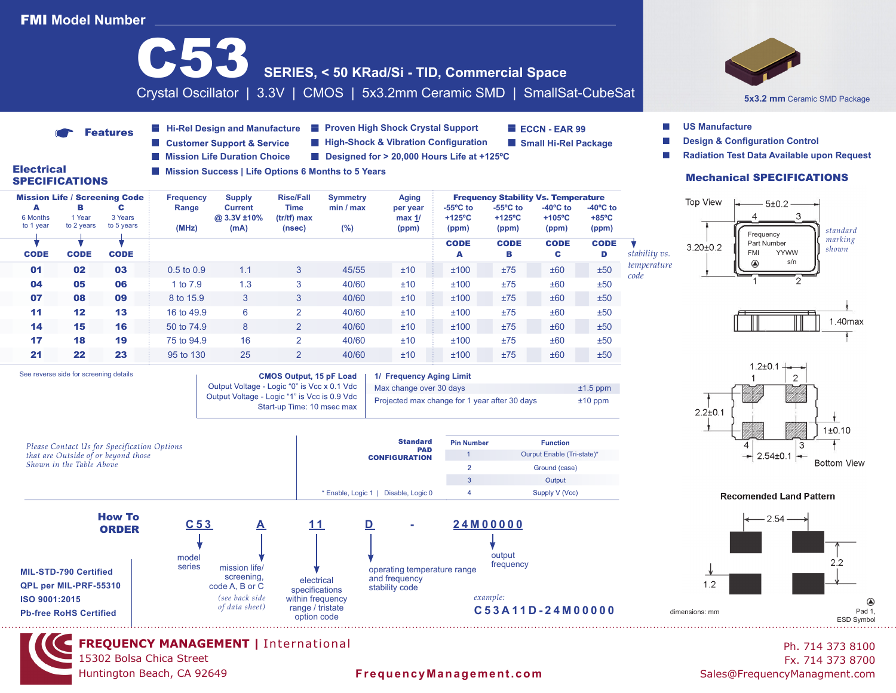# FMI **Model Number**

15302 Bolsa Chica Street Huntington Beach, CA 92649



Ph. 714 373 8100 Fx. 714 373 8700

ESD Symbol

 $\circledcirc$ 

*standard marking shown*

1.40max

 $1±0.10$ 

 $2.2$ 

## **FrequencyManagement.com** Sales@FrequencyManagment.com